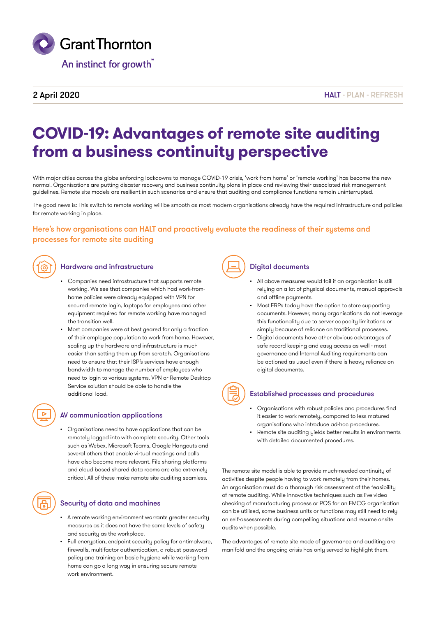

# 2 April 2020

HAIT - PLAN - REFRESH

# **COVID-19: Advantages of remote site auditing from a business continuity perspective**

With major cities across the globe enforcing lockdowns to manage COVID-19 crisis, 'work from home' or 'remote working' has become the new normal. Organisations are putting disaster recovery and business continuity plans in place and reviewing their associated risk management guidelines. Remote site models are resilient in such scenarios and ensure that auditing and compliance functions remain uninterrupted.

The good news is: This switch to remote working will be smooth as most modern organisations already have the required infrastructure and policies for remote working in place.

# Here's how organisations can HALT and proactively evaluate the readiness of their systems and processes for remote site auditing



## Hardware and infrastructure  $\left(\begin{array}{c} \end{array}\right)$  Digital documents

- Companies need infrastructure that supports remote working. We see that companies which had work-fromhome policies were already equipped with VPN for secured remote login, laptops for employees and other equipment required for remote working have managed the transition well.
- Most companies were at best geared for only a fraction of their employee population to work from home. However, scaling up the hardware and infrastructure is much easier than setting them up from scratch. Organisations need to ensure that their ISP's services have enough bandwidth to manage the number of employees who need to login to various systems. VPN or Remote Desktop Service solution should be able to handle the additional load.

# AV communication applications

• Organisations need to have applications that can be remotely logged into with complete security. Other tools such as Webex, Microsoft Teams, Google Hangouts and several others that enable virtual meetings and calls have also become more relevant. File sharing platforms and cloud based shared data rooms are also extremely critical. All of these make remote site auditing seamless.

# Security of data and machines

- A remote working environment warrants greater security measures as it does not have the same levels of safety and security as the workplace.
- Full encryption, endpoint security policy for antimalware, firewalls, multifactor authentication, a robust password policy and training on basic hygiene while working from home can go a long way in ensuring secure remote work environment.



- All above measures would fail if an organisation is still relying on a lot of physical documents, manual approvals and offline payments.
- Most ERPs today have the option to store supporting documents. However, many organisations do not leverage this functionality due to server capacity limitations or simply because of reliance on traditional processes.
- Digital documents have other obvious advantages of safe record keeping and easy access as well - most governance and Internal Auditing requirements can be actioned as usual even if there is heavy reliance on digital documents.

# Established processes and procedures

- Organisations with robust policies and procedures find it easier to work remotely, compared to less matured organisations who introduce ad-hoc procedures.
- Remote site auditing yields better results in environments with detailed documented procedures.

The remote site model is able to provide much-needed continuity of activities despite people having to work remotely from their homes. An organisation must do a thorough risk assessment of the feasibility of remote auditing. While innovative techniques such as live video checking of manufacturing process or POS for an FMCG organisation can be utilised, some business units or functions may still need to rely on self-assessments during compelling situations and resume onsite audits when possible.

The advantages of remote site mode of governance and auditing are manifold and the ongoing crisis has only served to highlight them.